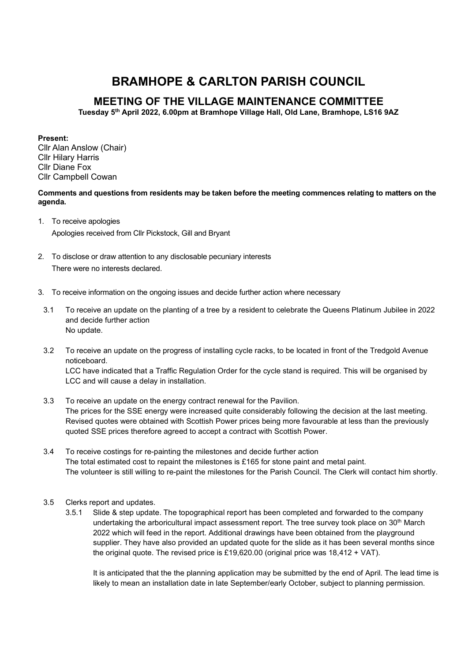## BRAMHOPE & CARLTON PARISH COUNCIL

## MEETING OF THE VILLAGE MAINTENANCE COMMITTEE

Tuesday 5th April 2022, 6.00pm at Bramhope Village Hall, Old Lane, Bramhope, LS16 9AZ

Present:

Cllr Alan Anslow (Chair) Cllr Hilary Harris Cllr Diane Fox Cllr Campbell Cowan

Comments and questions from residents may be taken before the meeting commences relating to matters on the agenda.

- 1. To receive apologies Apologies received from Cllr Pickstock, Gill and Bryant
- 2. To disclose or draw attention to any disclosable pecuniary interests There were no interests declared.
- 3. To receive information on the ongoing issues and decide further action where necessary
- 3.1 To receive an update on the planting of a tree by a resident to celebrate the Queens Platinum Jubilee in 2022 and decide further action No update.
- 3.2 To receive an update on the progress of installing cycle racks, to be located in front of the Tredgold Avenue noticeboard.

LCC have indicated that a Traffic Regulation Order for the cycle stand is required. This will be organised by LCC and will cause a delay in installation.

- 3.3 To receive an update on the energy contract renewal for the Pavilion. The prices for the SSE energy were increased quite considerably following the decision at the last meeting. Revised quotes were obtained with Scottish Power prices being more favourable at less than the previously quoted SSE prices therefore agreed to accept a contract with Scottish Power.
- 3.4 To receive costings for re-painting the milestones and decide further action The total estimated cost to repaint the milestones is £165 for stone paint and metal paint. The volunteer is still willing to re-paint the milestones for the Parish Council. The Clerk will contact him shortly.
- 3.5 Clerks report and updates.
	- 3.5.1 Slide & step update. The topographical report has been completed and forwarded to the company undertaking the arboricultural impact assessment report. The tree survey took place on 30<sup>th</sup> March 2022 which will feed in the report. Additional drawings have been obtained from the playground supplier. They have also provided an updated quote for the slide as it has been several months since the original quote. The revised price is £19,620.00 (original price was 18,412 + VAT).

It is anticipated that the the planning application may be submitted by the end of April. The lead time is likely to mean an installation date in late September/early October, subject to planning permission.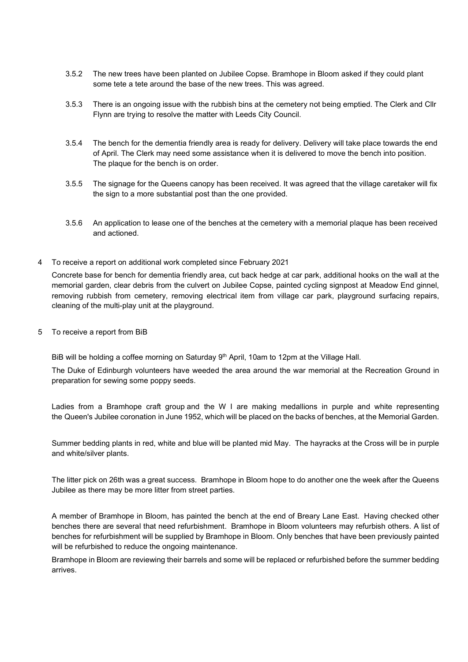- 3.5.2 The new trees have been planted on Jubilee Copse. Bramhope in Bloom asked if they could plant some tete a tete around the base of the new trees. This was agreed.
- 3.5.3 There is an ongoing issue with the rubbish bins at the cemetery not being emptied. The Clerk and Cllr Flynn are trying to resolve the matter with Leeds City Council.
- 3.5.4 The bench for the dementia friendly area is ready for delivery. Delivery will take place towards the end of April. The Clerk may need some assistance when it is delivered to move the bench into position. The plaque for the bench is on order.
- 3.5.5 The signage for the Queens canopy has been received. It was agreed that the village caretaker will fix the sign to a more substantial post than the one provided.
- 3.5.6 An application to lease one of the benches at the cemetery with a memorial plaque has been received and actioned.
- 4 To receive a report on additional work completed since February 2021

Concrete base for bench for dementia friendly area, cut back hedge at car park, additional hooks on the wall at the memorial garden, clear debris from the culvert on Jubilee Copse, painted cycling signpost at Meadow End ginnel, removing rubbish from cemetery, removing electrical item from village car park, playground surfacing repairs, cleaning of the multi-play unit at the playground.

5 To receive a report from BiB

BiB will be holding a coffee morning on Saturday 9<sup>th</sup> April, 10am to 12pm at the Village Hall.

The Duke of Edinburgh volunteers have weeded the area around the war memorial at the Recreation Ground in preparation for sewing some poppy seeds.

Ladies from a Bramhope craft group and the W I are making medallions in purple and white representing the Queen's Jubilee coronation in June 1952, which will be placed on the backs of benches, at the Memorial Garden.

Summer bedding plants in red, white and blue will be planted mid May. The hayracks at the Cross will be in purple and white/silver plants.

The litter pick on 26th was a great success. Bramhope in Bloom hope to do another one the week after the Queens Jubilee as there may be more litter from street parties.

A member of Bramhope in Bloom, has painted the bench at the end of Breary Lane East. Having checked other benches there are several that need refurbishment. Bramhope in Bloom volunteers may refurbish others. A list of benches for refurbishment will be supplied by Bramhope in Bloom. Only benches that have been previously painted will be refurbished to reduce the ongoing maintenance.

Bramhope in Bloom are reviewing their barrels and some will be replaced or refurbished before the summer bedding arrives.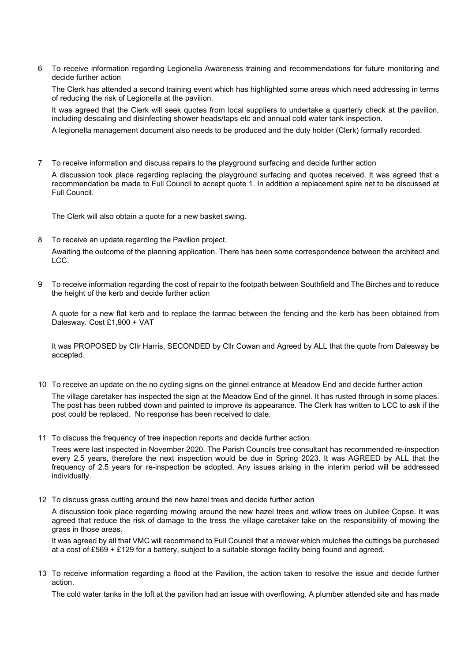6 To receive information regarding Legionella Awareness training and recommendations for future monitoring and decide further action

The Clerk has attended a second training event which has highlighted some areas which need addressing in terms of reducing the risk of Legionella at the pavilion.

It was agreed that the Clerk will seek quotes from local suppliers to undertake a quarterly check at the pavilion, including descaling and disinfecting shower heads/taps etc and annual cold water tank inspection.

A legionella management document also needs to be produced and the duty holder (Clerk) formally recorded.

7 To receive information and discuss repairs to the playground surfacing and decide further action

A discussion took place regarding replacing the playground surfacing and quotes received. It was agreed that a recommendation be made to Full Council to accept quote 1. In addition a replacement spire net to be discussed at Full Council.

The Clerk will also obtain a quote for a new basket swing.

8 To receive an update regarding the Pavilion project.

Awaiting the outcome of the planning application. There has been some correspondence between the architect and LCC.

9 To receive information regarding the cost of repair to the footpath between Southfield and The Birches and to reduce the height of the kerb and decide further action

A quote for a new flat kerb and to replace the tarmac between the fencing and the kerb has been obtained from Dalesway. Cost £1,900 + VAT

It was PROPOSED by Cllr Harris, SECONDED by Cllr Cowan and Agreed by ALL that the quote from Dalesway be accepted.

10 To receive an update on the no cycling signs on the ginnel entrance at Meadow End and decide further action

The village caretaker has inspected the sign at the Meadow End of the ginnel. It has rusted through in some places. The post has been rubbed down and painted to improve its appearance. The Clerk has written to LCC to ask if the post could be replaced. No response has been received to date.

11 To discuss the frequency of tree inspection reports and decide further action.

Trees were last inspected in November 2020. The Parish Councils tree consultant has recommended re-inspection every 2.5 years, therefore the next inspection would be due in Spring 2023. It was AGREED by ALL that the frequency of 2.5 years for re-inspection be adopted. Any issues arising in the interim period will be addressed individually.

12 To discuss grass cutting around the new hazel trees and decide further action

A discussion took place regarding mowing around the new hazel trees and willow trees on Jubilee Copse. It was agreed that reduce the risk of damage to the tress the village caretaker take on the responsibility of mowing the grass in those areas.

It was agreed by all that VMC will recommend to Full Council that a mower which mulches the cuttings be purchased at a cost of £569 + £129 for a battery, subject to a suitable storage facility being found and agreed.

13 To receive information regarding a flood at the Pavilion, the action taken to resolve the issue and decide further action.

The cold water tanks in the loft at the pavilion had an issue with overflowing. A plumber attended site and has made